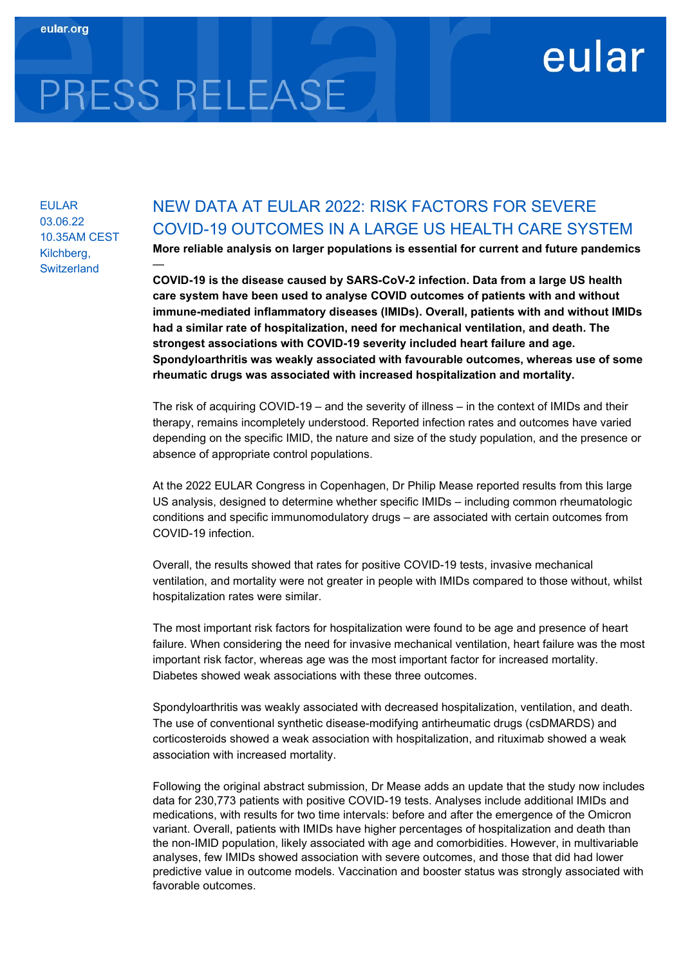## eular

# PRESS RELEASE

—

EULAR 03.06.22 10.35AM CEST Kilchberg, **Switzerland** 

### NEW DATA AT EULAR 2022: RISK FACTORS FOR SEVERE COVID-19 OUTCOMES IN A LARGE US HEALTH CARE SYSTEM

More reliable analysis on larger populations is essential for current and future pandemics

COVID-19 is the disease caused by SARS-CoV-2 infection. Data from a large US health care system have been used to analyse COVID outcomes of patients with and without immune-mediated inflammatory diseases (IMIDs). Overall, patients with and without IMIDs had a similar rate of hospitalization, need for mechanical ventilation, and death. The strongest associations with COVID-19 severity included heart failure and age. Spondyloarthritis was weakly associated with favourable outcomes, whereas use of some rheumatic drugs was associated with increased hospitalization and mortality.

The risk of acquiring COVID-19 – and the severity of illness – in the context of IMIDs and their therapy, remains incompletely understood. Reported infection rates and outcomes have varied depending on the specific IMID, the nature and size of the study population, and the presence or absence of appropriate control populations.

At the 2022 EULAR Congress in Copenhagen, Dr Philip Mease reported results from this large US analysis, designed to determine whether specific IMIDs – including common rheumatologic conditions and specific immunomodulatory drugs – are associated with certain outcomes from COVID-19 infection.

Overall, the results showed that rates for positive COVID-19 tests, invasive mechanical ventilation, and mortality were not greater in people with IMIDs compared to those without, whilst hospitalization rates were similar.

The most important risk factors for hospitalization were found to be age and presence of heart failure. When considering the need for invasive mechanical ventilation, heart failure was the most important risk factor, whereas age was the most important factor for increased mortality. Diabetes showed weak associations with these three outcomes.

Spondyloarthritis was weakly associated with decreased hospitalization, ventilation, and death. The use of conventional synthetic disease-modifying antirheumatic drugs (csDMARDS) and corticosteroids showed a weak association with hospitalization, and rituximab showed a weak association with increased mortality.

Following the original abstract submission, Dr Mease adds an update that the study now includes data for 230,773 patients with positive COVID-19 tests. Analyses include additional IMIDs and medications, with results for two time intervals: before and after the emergence of the Omicron variant. Overall, patients with IMIDs have higher percentages of hospitalization and death than the non-IMID population, likely associated with age and comorbidities. However, in multivariable analyses, few IMIDs showed association with severe outcomes, and those that did had lower predictive value in outcome models. Vaccination and booster status was strongly associated with favorable outcomes.